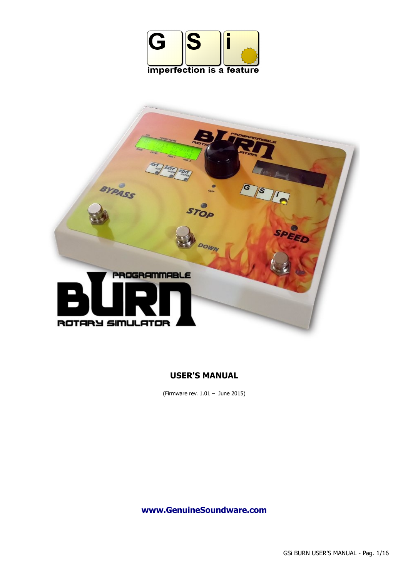



## **USER'S MANUAL**

(Firmware rev. 1.01 – June 2015)

**[www.GenuineSoundware.com](http://www.GenuineSoundware.com/)**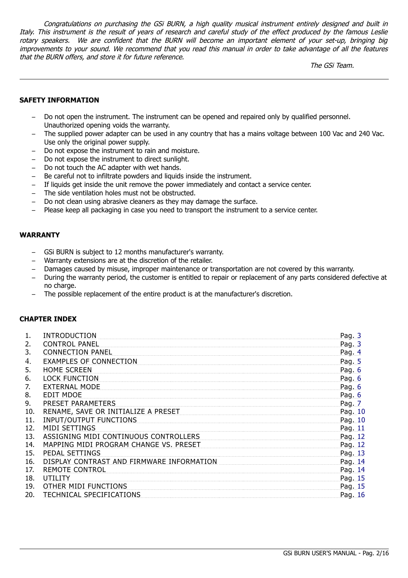Congratulations on purchasing the GSi BURN, a high quality musical instrument entirely designed and built in Italy. This instrument is the result of years of research and careful study of the effect produced by the famous Leslie rotary speakers. We are confident that the BURN will become an important element of your set-up, bringing big improvements to your sound. We recommend that you read this manual in order to take advantage of all the features that the BURN offers, and store it for future reference.

The GSi Team.

#### **SAFETY INFORMATION**

- Do not open the instrument. The instrument can be opened and repaired only by qualified personnel. Unauthorized opening voids the warranty.
- The supplied power adapter can be used in any country that has a mains voltage between 100 Vac and 240 Vac. Use only the original power supply.
- Do not expose the instrument to rain and moisture.
- Do not expose the instrument to direct sunlight.
- Do not touch the AC adapter with wet hands.
- Be careful not to infiltrate powders and liquids inside the instrument.
- If liquids get inside the unit remove the power immediately and contact a service center.
- The side ventilation holes must not be obstructed.
- Do not clean using abrasive cleaners as they may damage the surface.
- Please keep all packaging in case you need to transport the instrument to a service center.

#### **WARRANTY**

- GSi BURN is subject to 12 months manufacturer's warranty.
- Warranty extensions are at the discretion of the retailer.
- Damages caused by misuse, improper maintenance or transportation are not covered by this warranty.
- During the warranty period, the customer is entitled to repair or replacement of any parts considered defective at no charge.
- The possible replacement of the entire product is at the manufacturer's discretion.

#### **CHAPTER INDEX**

| 1.  | <b>INTRODUCTION</b>                       | Pag. 3  |
|-----|-------------------------------------------|---------|
| 2.  | <b>CONTROL PANEL</b>                      | Pag. 3  |
| 3.  | <b>CONNECTION PANEL</b>                   | Pag. 4  |
| 4.  | <b>EXAMPLES OF CONNECTION</b>             | Pag. 5  |
| 5.  | <b>HOME SCREEN</b>                        | Pag. 6  |
| 6.  | <b>LOCK FUNCTION</b>                      | Pag. 6  |
| 7.  | <b>EXTERNAL MODE</b>                      | Pag. 6  |
| 8.  | <b>EDIT MDOE</b>                          | Pag. 6  |
| 9.  | PRESET PARAMETERS                         | Pag. 7  |
| 10. | RENAME, SAVE OR INITIALIZE A PRESET       | Pag. 10 |
| 11. | <b>INPUT/OUTPUT FUNCTIONS</b>             | Pag. 10 |
| 12. | MIDI SETTINGS                             | Pag. 11 |
| 13. | ASSIGNING MIDI CONTINUOUS CONTROLLERS     | Pag. 12 |
| 14. | MAPPING MIDI PROGRAM CHANGE VS. PRESET    | Pag. 12 |
| 15. | PEDAL SETTINGS                            | Pag. 13 |
| 16. | DISPLAY CONTRAST AND FIRMWARE INFORMATION | Pag. 14 |
| 17. | <b>REMOTE CONTROL</b>                     | Pag. 14 |
| 18. | UTILITY                                   | Pag. 15 |
| 19. | OTHER MIDI FUNCTIONS                      | Pag. 15 |
| 20. | TECHNICAL SPECIFICATIONS                  | Pag. 16 |
|     |                                           |         |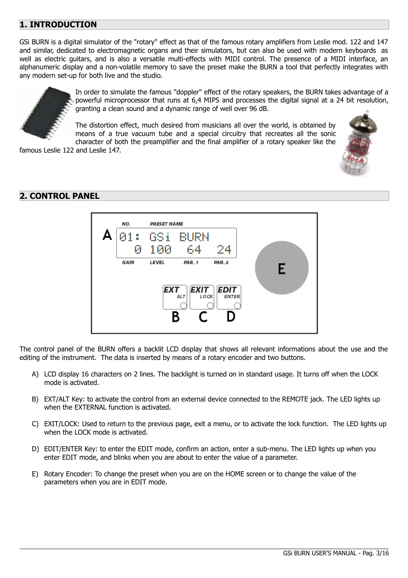# <span id="page-2-1"></span>**1. INTRODUCTION**

GSi BURN is a digital simulator of the "rotary" effect as that of the famous rotary amplifiers from Leslie mod. 122 and 147 and similar, dedicated to electromagnetic organs and their simulators, but can also be used with modern keyboards as well as electric guitars, and is also a versatile multi-effects with MIDI control. The presence of a MIDI interface, an alphanumeric display and a non-volatile memory to save the preset make the BURN a tool that perfectly integrates with any modern set-up for both live and the studio.



In order to simulate the famous "doppler" effect of the rotary speakers, the BURN takes advantage of a powerful microprocessor that runs at 6,4 MIPS and processes the digital signal at a 24 bit resolution, granting a clean sound and a dynamic range of well over 96 dB.

The distortion effect, much desired from musicians all over the world, is obtained by means of a true vacuum tube and a special circuitry that recreates all the sonic character of both the preamplifier and the final amplifier of a rotary speaker like the

famous Leslie 122 and Leslie 147.

## <span id="page-2-0"></span>**2. CONTROL PANEL**



The control panel of the BURN offers a backlit LCD display that shows all relevant informations about the use and the editing of the instrument. The data is inserted by means of a rotary encoder and two buttons.

- A) LCD display 16 characters on 2 lines. The backlight is turned on in standard usage. It turns off when the LOCK mode is activated.
- B) EXT/ALT Key: to activate the control from an external device connected to the REMOTE jack. The LED lights up when the EXTERNAL function is activated.
- C) EXIT/LOCK: Used to return to the previous page, exit a menu, or to activate the lock function. The LED lights up when the LOCK mode is activated.
- D) EDIT/ENTER Key: to enter the EDIT mode, confirm an action, enter a sub-menu. The LED lights up when you enter EDIT mode, and blinks when you are about to enter the value of a parameter.
- E) Rotary Encoder: To change the preset when you are on the HOME screen or to change the value of the parameters when you are in EDIT mode.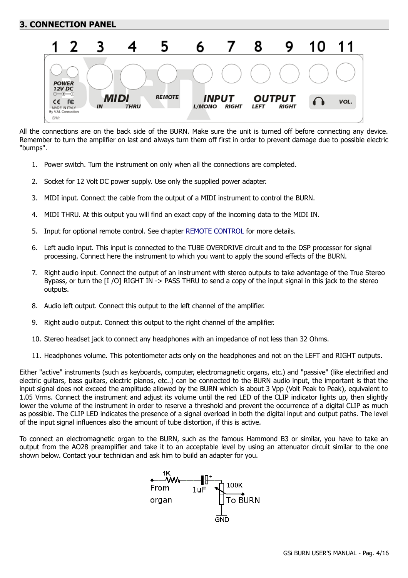# <span id="page-3-0"></span>**3. CONNECTION PANEL**



All the connections are on the back side of the BURN. Make sure the unit is turned off before connecting any device. Remember to turn the amplifier on last and always turn them off first in order to prevent damage due to possible electric "bumps".

- 1. Power switch. Turn the instrument on only when all the connections are completed.
- 2. Socket for 12 Volt DC power supply. Use only the supplied power adapter.
- 3. MIDI input. Connect the cable from the output of a MIDI instrument to control the BURN.
- 4. MIDI THRU. At this output you will find an exact copy of the incoming data to the MIDI IN.
- 5. Input for optional remote control. See chapter [REMOTE CONTROL](#page-13-0) for more details.
- 6. Left audio input. This input is connected to the TUBE OVERDRIVE circuit and to the DSP processor for signal processing. Connect here the instrument to which you want to apply the sound effects of the BURN.
- 7. Right audio input. Connect the output of an instrument with stereo outputs to take advantage of the True Stereo Bypass, or turn the [I /O] RIGHT IN -> PASS THRU to send a copy of the input signal in this jack to the stereo outputs.
- 8. Audio left output. Connect this output to the left channel of the amplifier.
- 9. Right audio output. Connect this output to the right channel of the amplifier.
- 10. Stereo headset jack to connect any headphones with an impedance of not less than 32 Ohms.
- 11. Headphones volume. This potentiometer acts only on the headphones and not on the LEFT and RIGHT outputs.

Either "active" instruments (such as keyboards, computer, electromagnetic organs, etc.) and "passive" (like electrified and electric guitars, bass guitars, electric pianos, etc..) can be connected to the BURN audio input, the important is that the input signal does not exceed the amplitude allowed by the BURN which is about 3 Vpp (Volt Peak to Peak), equivalent to 1.05 Vrms. Connect the instrument and adjust its volume until the red LED of the CLIP indicator lights up, then slightly lower the volume of the instrument in order to reserve a threshold and prevent the occurrence of a digital CLIP as much as possible. The CLIP LED indicates the presence of a signal overload in both the digital input and output paths. The level of the input signal influences also the amount of tube distortion, if this is active.

To connect an electromagnetic organ to the BURN, such as the famous Hammond B3 or similar, you have to take an output from the AO28 preamplifier and take it to an acceptable level by using an attenuator circuit similar to the one shown below. Contact your technician and ask him to build an adapter for you.

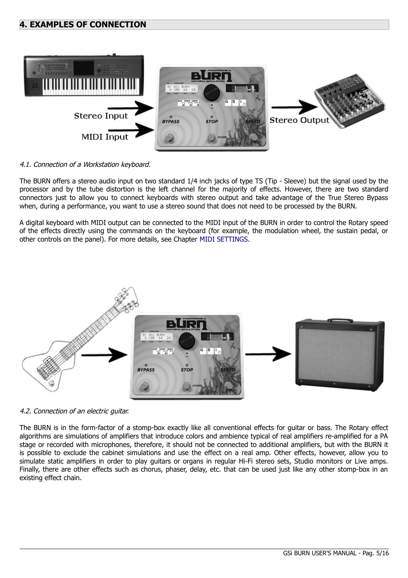### <span id="page-4-0"></span>**4. EXAMPLES OF CONNECTION**



#### 4.1. Connection of a Workstation keyboard.

The BURN offers a stereo audio input on two standard 1/4 inch jacks of type TS (Tip - Sleeve) but the signal used by the processor and by the tube distortion is the left channel for the majority of effects. However, there are two standard connectors just to allow you to connect keyboards with stereo output and take advantage of the True Stereo Bypass when, during a performance, you want to use a stereo sound that does not need to be processed by the BURN.

A digital keyboard with MIDI output can be connected to the MIDI input of the BURN in order to control the Rotary speed of the effects directly using the commands on the keyboard (for example, the modulation wheel, the sustain pedal, or other controls on the panel). For more details, see Chapter [MIDI SETTINGS.](#page-10-0)



4.2. Connection of an electric guitar.

The BURN is in the form-factor of a stomp-box exactly like all conventional effects for guitar or bass. The Rotary effect algorithms are simulations of amplifiers that introduce colors and ambience typical of real amplifiers re-amplified for a PA stage or recorded with microphones, therefore, it should not be connected to additional amplifiers, but with the BURN it is possible to exclude the cabinet simulations and use the effect on a real amp. Other effects, however, allow you to simulate static amplifiers in order to play guitars or organs in regular Hi-Fi stereo sets, Studio monitors or Live amps. Finally, there are other effects such as chorus, phaser, delay, etc. that can be used just like any other stomp-box in an existing effect chain.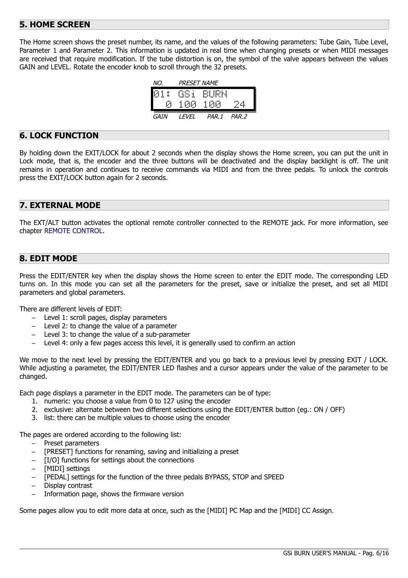## <span id="page-5-3"></span>**5. HOME SCREEN**

The Home screen shows the preset number, its name, and the values of the following parameters: Tube Gain, Tube Level, Parameter 1 and Parameter 2. This information is updated in real time when changing presets or when MIDI messages are received that require modification. If the tube distortion is on, the symbol of the valve appears between the values GAIN and LEVEL. Rotate the encoder knob to scroll through the 32 presets.

| NO.  | PRESET NAME |                     |       |
|------|-------------|---------------------|-------|
|      |             | <b>01: GSI BURN</b> |       |
| Й    | 100-        | 100                 | 24    |
| GAIN | <b>FVFI</b> | PAR.1               | PAR.2 |

### <span id="page-5-2"></span>**6. LOCK FUNCTION**

By holding down the EXIT/LOCK for about 2 seconds when the display shows the Home screen, you can put the unit in Lock mode, that is, the encoder and the three buttons will be deactivated and the display backlight is off. The unit remains in operation and continues to receive commands via MIDI and from the three pedals. To unlock the controls press the EXIT/LOCK button again for 2 seconds.

## <span id="page-5-1"></span>**7. EXTERNAL MODE**

The EXT/ALT button activates the optional remote controller connected to the REMOTE jack. For more information, see chapter [REMOTE CONTROL.](#page-13-0)

### <span id="page-5-0"></span>**8. EDIT MODE**

Press the EDIT/ENTER key when the display shows the Home screen to enter the EDIT mode. The corresponding LED turns on. In this mode you can set all the parameters for the preset, save or initialize the preset, and set all MIDI parameters and global parameters.

There are different levels of EDIT:

- Level 1: scroll pages, display parameters
- Level 2: to change the value of a parameter
- Level 3: to change the value of a sub-parameter
- Level 4: only a few pages access this level, it is generally used to confirm an action

We move to the next level by pressing the EDIT/ENTER and you go back to a previous level by pressing EXIT / LOCK. While adjusting a parameter, the EDIT/ENTER LED flashes and a cursor appears under the value of the parameter to be changed.

Each page displays a parameter in the EDIT mode. The parameters can be of type:

- 1. numeric: you choose a value from 0 to 127 using the encoder
- 2. exclusive: alternate between two different selections using the EDIT/ENTER button (eg.: ON / OFF)
- 3. list: there can be multiple values to choose using the encoder

The pages are ordered according to the following list:

- Preset parameters
- [PRESET] functions for renaming, saving and initializing a preset
- [I/O] functions for settings about the connections
- [MIDI] settings
- [PEDAL] settings for the function of the three pedals BYPASS, STOP and SPEED
- Display contrast
- Information page, shows the firmware version

Some pages allow you to edit more data at once, such as the [MIDI] PC Map and the [MIDI] CC Assign.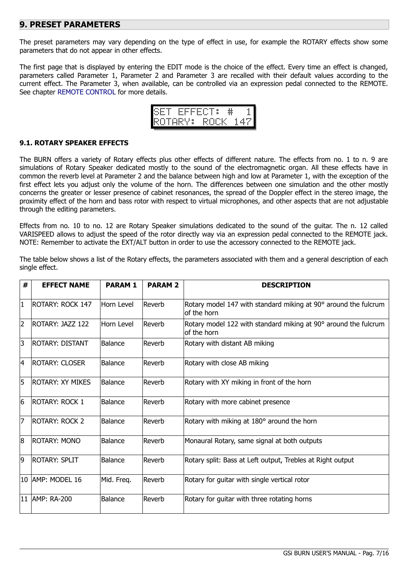### <span id="page-6-0"></span>**9. PRESET PARAMETERS**

The preset parameters may vary depending on the type of effect in use, for example the ROTARY effects show some parameters that do not appear in other effects.

The first page that is displayed by entering the EDIT mode is the choice of the effect. Every time an effect is changed, parameters called Parameter 1, Parameter 2 and Parameter 3 are recalled with their default values according to the current effect. The Parameter 3, when available, can be controlled via an expression pedal connected to the REMOTE. See chapter [REMOTE CONTROL](#page-13-0) for more details.

| THE<br><b>Sec</b><br>---- | <br>- | <b>Gener</b> | ---<br>---- | <br>- | ×<br>× |  |             | ×,<br> |
|---------------------------|-------|--------------|-------------|-------|--------|--|-------------|--------|
|                           |       | H            |             |       |        |  | <b>Basi</b> |        |

#### **9.1. ROTARY SPEAKER EFFECTS**

The BURN offers a variety of Rotary effects plus other effects of different nature. The effects from no. 1 to n. 9 are simulations of Rotary Speaker dedicated mostly to the sound of the electromagnetic organ. All these effects have in common the reverb level at Parameter 2 and the balance between high and low at Parameter 1, with the exception of the first effect lets you adjust only the volume of the horn. The differences between one simulation and the other mostly concerns the greater or lesser presence of cabinet resonances, the spread of the Doppler effect in the stereo image, the proximity effect of the horn and bass rotor with respect to virtual microphones, and other aspects that are not adjustable through the editing parameters.

Effects from no. 10 to no. 12 are Rotary Speaker simulations dedicated to the sound of the guitar. The n. 12 called VARISPEED allows to adjust the speed of the rotor directly way via an expression pedal connected to the REMOTE jack. NOTE: Remember to activate the EXT/ALT button in order to use the accessory connected to the REMOTE jack.

The table below shows a list of the Rotary effects, the parameters associated with them and a general description of each single effect.

| #              | <b>EFFECT NAME</b>      | <b>PARAM1</b>  | <b>PARAM 2</b> | <b>DESCRIPTION</b>                                                             |
|----------------|-------------------------|----------------|----------------|--------------------------------------------------------------------------------|
| $\mathbf{1}$   | <b>ROTARY: ROCK 147</b> | Horn Level     | Reverb         | Rotary model 147 with standard miking at 90° around the fulcrum<br>of the horn |
| $\overline{2}$ | ROTARY: JAZZ 122        | Horn Level     | Reverb         | Rotary model 122 with standard miking at 90° around the fulcrum<br>of the horn |
| 3              | <b>ROTARY: DISTANT</b>  | Balance        | Reverb         | Rotary with distant AB miking                                                  |
| 4              | <b>ROTARY: CLOSER</b>   | Balance        | Reverb         | Rotary with close AB miking                                                    |
| 5              | <b>ROTARY: XY MIKES</b> | Balance        | Reverb         | Rotary with XY miking in front of the horn                                     |
| 6              | <b>ROTARY: ROCK 1</b>   | <b>Balance</b> | Reverb         | Rotary with more cabinet presence                                              |
| $\overline{7}$ | <b>ROTARY: ROCK 2</b>   | <b>Balance</b> | Reverb         | Rotary with miking at 180° around the horn                                     |
| 8              | <b>ROTARY: MONO</b>     | <b>Balance</b> | Reverb         | Monaural Rotary, same signal at both outputs                                   |
| 9              | <b>ROTARY: SPLIT</b>    | <b>Balance</b> | Reverb         | Rotary split: Bass at Left output, Trebles at Right output                     |
|                | 10 AMP: MODEL 16        | Mid. Freq.     | Reverb         | Rotary for guitar with single vertical rotor                                   |
|                | 11   AMP: RA-200        | <b>Balance</b> | Reverb         | Rotary for guitar with three rotating horns                                    |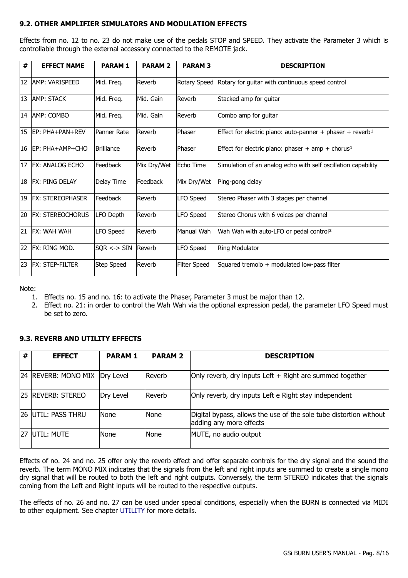### **9.2. OTHER AMPLIFIER SIMULATORS AND MODULATION EFFECTS**

Effects from no. 12 to no. 23 do not make use of the pedals STOP and SPEED. They activate the Parameter 3 which is controllable through the external accessory connected to the REMOTE jack.

| #  | <b>EFFECT NAME</b>      | <b>PARAM1</b>          | <b>PARAM 2</b> | <b>PARAM 3</b> | <b>DESCRIPTION</b>                                                    |
|----|-------------------------|------------------------|----------------|----------------|-----------------------------------------------------------------------|
| 12 | AMP: VARISPEED          | Mid. Freq.             | Reverb         |                | Rotary Speed   Rotary for guitar with continuous speed control        |
| 13 | <b>AMP: STACK</b>       | Mid. Freq.             | Mid. Gain      | Reverb         | Stacked amp for guitar                                                |
|    | 14   AMP: COMBO         | Mid. Freq.             | Mid. Gain      | Reverb         | Combo amp for guitar                                                  |
| 15 | EP: PHA+PAN+REV         | Panner Rate            | Reverb         | Phaser         | Effect for electric piano: auto-panner + phaser + reverb <sup>1</sup> |
| 16 | EP: PHA+AMP+CHO         | <b>Brilliance</b>      | Reverb         | Phaser         | Effect for electric piano: phaser + amp + chorus <sup>1</sup>         |
| 17 | <b>FX: ANALOG ECHO</b>  | Feedback               | Mix Dry/Wet    | Echo Time      | Simulation of an analog echo with self oscillation capability         |
| 18 | <b>FX: PING DELAY</b>   | Delay Time             | Feedback       | Mix Dry/Wet    | Ping-pong delay                                                       |
| 19 | <b>FX: STEREOPHASER</b> | Feedback               | Reverb         | LFO Speed      | Stereo Phaser with 3 stages per channel                               |
| 20 | <b>FX: STEREOCHORUS</b> | LFO Depth              | Reverb         | LFO Speed      | Stereo Chorus with 6 voices per channel                               |
| 21 | <b>FX: WAH WAH</b>      | LFO Speed              | Reverb         | Manual Wah     | Wah Wah with auto-LFO or pedal control <sup>2</sup>                   |
| 22 | FX: RING MOD.           | $SQR \leftarrow > SIN$ | Reverb         | LFO Speed      | <b>Ring Modulator</b>                                                 |
| 23 | <b>FX: STEP-FILTER</b>  | Step Speed             | Reverb         | Filter Speed   | Squared tremolo + modulated low-pass filter                           |

Note:

- 1. Effects no. 15 and no. 16: to activate the Phaser, Parameter 3 must be major than 12.
- 2. Effect no. 21: in order to control the Wah Wah via the optional expression pedal, the parameter LFO Speed must be set to zero.

#### **9.3. REVERB AND UTILITY EFFECTS**

| #   | <b>EFFECT</b>                 | <b>PARAM1</b> | <b>PARAM 2</b> | <b>DESCRIPTION</b>                                                                            |
|-----|-------------------------------|---------------|----------------|-----------------------------------------------------------------------------------------------|
|     | 24 REVERB: MONO MIX Dry Level |               | Reverb         | Only reverb, dry inputs Left + Right are summed together                                      |
|     | 25 REVERB: STEREO             | Dry Level     | Reverb         | Only reverb, dry inputs Left e Right stay independent                                         |
|     | 26 UTIL: PASS THRU            | None          | None           | Digital bypass, allows the use of the sole tube distortion without<br>adding any more effects |
| 27. | IUTIL: MUTE                   | None          | None           | MUTE, no audio output                                                                         |

Effects of no. 24 and no. 25 offer only the reverb effect and offer separate controls for the dry signal and the sound the reverb. The term MONO MIX indicates that the signals from the left and right inputs are summed to create a single mono dry signal that will be routed to both the left and right outputs. Conversely, the term STEREO indicates that the signals coming from the Left and Right inputs will be routed to the respective outputs.

The effects of no. 26 and no. 27 can be used under special conditions, especially when the BURN is connected via MIDI to other equipment. See chapter [UTILITY](#page-14-1) for more details.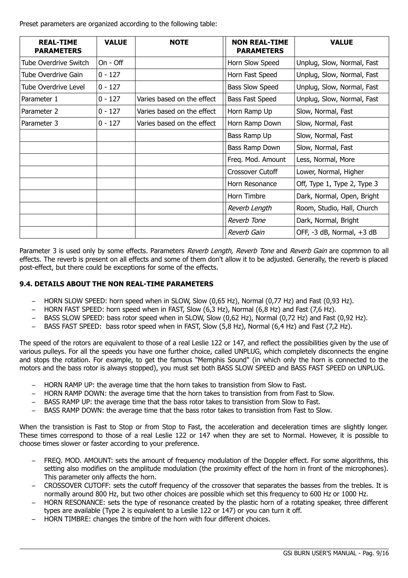Preset parameters are organized according to the following table:

| <b>REAL-TIME</b><br><b>PARAMETERS</b> | <b>VALUE</b> | <b>NOTE</b>                | <b>NON REAL-TIME</b><br><b>PARAMETERS</b> | <b>VALUE</b>                |
|---------------------------------------|--------------|----------------------------|-------------------------------------------|-----------------------------|
| Tube Overdrive Switch                 | On - Off     |                            | Horn Slow Speed                           | Unplug, Slow, Normal, Fast  |
| Tube Overdrive Gain                   | $0 - 127$    |                            | Horn Fast Speed                           | Unplug, Slow, Normal, Fast  |
| Tube Overdrive Level                  | $0 - 127$    |                            | <b>Bass Slow Speed</b>                    | Unplug, Slow, Normal, Fast  |
| Parameter 1                           | $0 - 127$    | Varies based on the effect | Bass Fast Speed                           | Unplug, Slow, Normal, Fast  |
| Parameter 2                           | $0 - 127$    | Varies based on the effect | Horn Ramp Up                              | Slow, Normal, Fast          |
| Parameter 3                           | $0 - 127$    | Varies based on the effect | Horn Ramp Down                            | Slow, Normal, Fast          |
|                                       |              |                            | Bass Ramp Up                              | Slow, Normal, Fast          |
|                                       |              |                            | Bass Ramp Down                            | Slow, Normal, Fast          |
|                                       |              |                            | Freq. Mod. Amount                         | Less, Normal, More          |
|                                       |              |                            | Crossover Cutoff                          | Lower, Normal, Higher       |
|                                       |              |                            | Horn Resonance                            | Off, Type 1, Type 2, Type 3 |
|                                       |              |                            | Horn Timbre                               | Dark, Normal, Open, Bright  |
|                                       |              |                            | Reverb Length                             | Room, Studio, Hall, Church  |
|                                       |              |                            | Reverb Tone                               | Dark, Normal, Bright        |
|                                       |              |                            | Reverb Gain                               | OFF, -3 dB, Normal, +3 dB   |

Parameter 3 is used only by some effects. Parameters Reverb Length, Reverb Tone and Reverb Gain are copmmon to all effects. The reverb is present on all effects and some of them don't allow it to be adjusted. Generally, the reverb is placed post-effect, but there could be exceptions for some of the effects.

### **9.4. DETAILS ABOUT THE NON REAL-TIME PARAMETERS**

- HORN SLOW SPEED: horn speed when in SLOW, Slow (0,65 Hz), Normal (0,77 Hz) and Fast (0,93 Hz).
- HORN FAST SPEED: horn speed when in FAST, Slow (6,3 Hz), Normal (6,8 Hz) and Fast (7,6 Hz).
- BASS SLOW SPEED: bass rotor speed when in SLOW, Slow (0,62 Hz), Normal (0,72 Hz) and Fast (0,92 Hz).
- BASS FAST SPEED: bass rotor speed when in FAST, Slow (5,8 Hz), Normal (6,4 Hz) and Fast (7,2 Hz).

The speed of the rotors are equivalent to those of a real Leslie 122 or 147, and reflect the possibilities given by the use of various pulleys. For all the speeds you have one further choice, called UNPLUG, which completely disconnects the engine and stops the rotation. For example, to get the famous "Memphis Sound" (in which only the horn is connected to the motors and the bass rotor is always stopped), you must set both BASS SLOW SPEED and BASS FAST SPEED on UNPLUG.

- HORN RAMP UP: the average time that the horn takes to transistion from Slow to Fast.
- HORN RAMP DOWN: the average time that the horn takes to transistion from from Fast to Slow.
- BASS RAMP UP: the average time that the bass rotor takes to transistion from Slow to Fast.
- BASS RAMP DOWN: the average time that the bass rotor takes to transistion from Fast to Slow.

When the transistion is Fast to Stop or from Stop to Fast, the acceleration and deceleration times are slightly longer. These times correspond to those of a real Leslie 122 or 147 when they are set to Normal. However, it is possible to choose times slower or faster according to your preference.

- FREQ. MOD. AMOUNT: sets the amount of frequency modulation of the Doppler effect. For some algorithms, this setting also modifies on the amplitude modulation (the proximity effect of the horn in front of the microphones). This parameter only affects the horn.
- CROSSOVER CUTOFF: sets the cutoff frequency of the crossover that separates the basses from the trebles. It is normally around 800 Hz, but two other choices are possible which set this frequency to 600 Hz or 1000 Hz.
- HORN RESONANCE: sets the type of resonance created by the plastic horn of a rotating speaker, three different types are available (Type 2 is equivalent to a Leslie 122 or 147) or you can turn it off.
- HORN TIMBRE: changes the timbre of the horn with four different choices.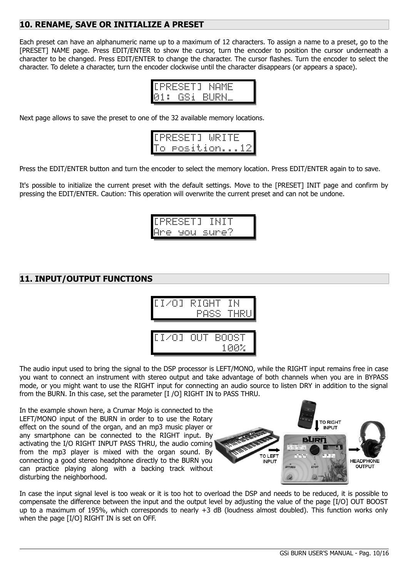# **10. RENAME, SAVE OR INITIALIZE A PRESET**

Each preset can have an alphanumeric name up to a maximum of 12 characters. To assign a name to a preset, go to the [PRESET] NAME page. Press EDIT/ENTER to show the cursor, turn the encoder to position the cursor underneath a character to be changed. Press EDIT/ENTER to change the character. The cursor flashes. Turn the encoder to select the character. To delete a character, turn the encoder clockwise until the character disappears (or appears a space).

<span id="page-9-1"></span>

| ۰.                 | НWЕ   | n Ha | <br>- 1<br> |     | d.      |      |
|--------------------|-------|------|-------------|-----|---------|------|
| <br>81<br>$\cdots$ | <br>š | - 1  |             | . . | 112 N.I | ---- |

Next page allows to save the preset to one of the 32 available memory locations.

|   | <b>LPRESETJ</b> |  |  | MR LT.   |  |  |  |
|---|-----------------|--|--|----------|--|--|--|
| Т | C.<br>---       |  |  | Position |  |  |  |

Press the EDIT/ENTER button and turn the encoder to select the memory location. Press EDIT/ENTER again to to save.

It's possible to initialize the current preset with the default settings. Move to the [PRESET] INIT page and confirm by pressing the EDIT/ENTER. Caution: This operation will overwrite the current preset and can not be undone.



### <span id="page-9-0"></span>**11. INPUT/OUTPUT FUNCTIONS**



The audio input used to bring the signal to the DSP processor is LEFT/MONO, while the RIGHT input remains free in case you want to connect an instrument with stereo output and take advantage of both channels when you are in BYPASS mode, or you might want to use the RIGHT input for connecting an audio source to listen DRY in addition to the signal from the BURN. In this case, set the parameter [I /O] RIGHT IN to PASS THRU.

In the example shown here, a Crumar Mojo is connected to the LEFT/MONO input of the BURN in order to to use the Rotary effect on the sound of the organ, and an mp3 music player or any smartphone can be connected to the RIGHT input. By activating the I/O RIGHT INPUT PASS THRU, the audio coming from the mp3 player is mixed with the organ sound. By connecting a good stereo headphone directly to the BURN you can practice playing along with a backing track without disturbing the neighborhood.



In case the input signal level is too weak or it is too hot to overload the DSP and needs to be reduced, it is possible to compensate the difference between the input and the output level by adjusting the value of the page [I/O] OUT BOOST up to a maximum of 195%, which corresponds to nearly +3 dB (loudness almost doubled). This function works only when the page [I/O] RIGHT IN is set on OFF.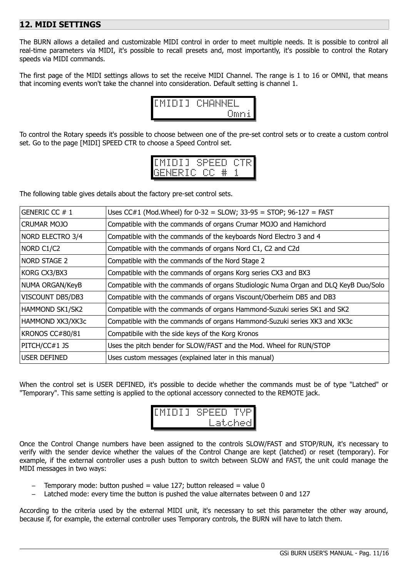## <span id="page-10-0"></span>**12. MIDI SETTINGS**

The BURN allows a detailed and customizable MIDI control in order to meet multiple needs. It is possible to control all real-time parameters via MIDI, it's possible to recall presets and, most importantly, it's possible to control the Rotary speeds via MIDI commands.

The first page of the MIDI settings allows to set the receive MIDI Channel. The range is 1 to 16 or OMNI, that means that incoming events won't take the channel into consideration. Default setting is channel 1.



To control the Rotary speeds it's possible to choose between one of the pre-set control sets or to create a custom control set. Go to the page [MIDI] SPEED CTR to choose a Speed Control set.

| EMIDIJ. |  |  | SPEED CTR  |  |  |  |
|---------|--|--|------------|--|--|--|
|         |  |  | GENERIC CC |  |  |  |

The following table gives details about the factory pre-set control sets.

| GENERIC CC #1      | Uses CC#1 (Mod.Wheel) for $0-32 =$ SLOW; $33-95 =$ STOP; $96-127 =$ FAST            |
|--------------------|-------------------------------------------------------------------------------------|
| <b>CRUMAR MOJO</b> | Compatible with the commands of organs Crumar MOJO and Hamichord                    |
| NORD ELECTRO 3/4   | Compatible with the commands of the keyboards Nord Electro 3 and 4                  |
| NORD C1/C2         | Compatible with the commands of organs Nord C1, C2 and C2d                          |
| NORD STAGE 2       | Compatible with the commands of the Nord Stage 2                                    |
| KORG CX3/BX3       | Compatible with the commands of organs Korg series CX3 and BX3                      |
| NUMA ORGAN/KeyB    | Compatible with the commands of organs Studiologic Numa Organ and DLQ KeyB Duo/Solo |
| VISCOUNT DB5/DB3   | Compatible with the commands of organs Viscount/Oberheim DB5 and DB3                |
| HAMMOND SK1/SK2    | Compatible with the commands of organs Hammond-Suzuki series SK1 and SK2            |
| HAMMOND XK3/XK3c   | Compatible with the commands of organs Hammond-Suzuki series XK3 and XK3c           |
| KRONOS CC#80/81    | Compatibile with the side keys of the Korg Kronos                                   |
| PITCH/CC#1 JS      | Uses the pitch bender for SLOW/FAST and the Mod. Wheel for RUN/STOP                 |
| USER DEFINED       | Uses custom messages (explained later in this manual)                               |

When the control set is USER DEFINED, it's possible to decide whether the commands must be of type "Latched" or "Temporary". This same setting is applied to the optional accessory connected to the REMOTE jack.



Once the Control Change numbers have been assigned to the controls SLOW/FAST and STOP/RUN, it's necessary to verify with the sender device whether the values of the Control Change are kept (latched) or reset (temporary). For example, if the external controller uses a push button to switch between SLOW and FAST, the unit could manage the MIDI messages in two ways:

- Temporary mode: button pushed = value 127; button released = value 0
- Latched mode: every time the button is pushed the value alternates between 0 and 127

According to the criteria used by the external MIDI unit, it's necessary to set this parameter the other way around, because if, for example, the external controller uses Temporary controls, the BURN will have to latch them.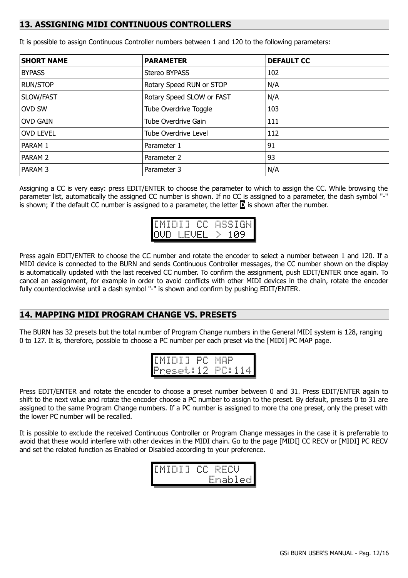## <span id="page-11-1"></span>**13. ASSIGNING MIDI CONTINUOUS CONTROLLERS**

| <b>SHORT NAME</b>  | <b>PARAMETER</b>          | <b>DEFAULT CC</b> |
|--------------------|---------------------------|-------------------|
| <b>BYPASS</b>      | Stereo BYPASS             | 102               |
| <b>RUN/STOP</b>    | Rotary Speed RUN or STOP  | N/A               |
| SLOW/FAST          | Rotary Speed SLOW or FAST | N/A               |
| OVD SW             | Tube Overdrive Toggle     | 103               |
| <b>OVD GAIN</b>    | Tube Overdrive Gain       | 111               |
| <b>OVD LEVEL</b>   | Tube Overdrive Level      | 112               |
| PARAM 1            | Parameter 1               | 91                |
| PARAM <sub>2</sub> | Parameter 2               | 93                |
| <b>PARAM 3</b>     | Parameter 3               | N/A               |

It is possible to assign Continuous Controller numbers between 1 and 120 to the following parameters:

Assigning a CC is very easy: press EDIT/ENTER to choose the parameter to which to assign the CC. While browsing the parameter list, automatically the assigned CC number is shown. If no CC is assigned to a parameter, the dash symbol "-" is shown; if the default CC number is assigned to a parameter, the letter **D** is shown after the number.

| EMIDI 1 |          | <b>WSS 1</b><br>HiN |
|---------|----------|---------------------|
|         | 11-<br>ш | -11-11              |

Press again EDIT/ENTER to choose the CC number and rotate the encoder to select a number between 1 and 120. If a MIDI device is connected to the BURN and sends Continuous Controller messages, the CC number shown on the display is automatically updated with the last received CC number. To confirm the assignment, push EDIT/ENTER once again. To cancel an assignment, for example in order to avoid conflicts with other MIDI devices in the chain, rotate the encoder fully counterclockwise until a dash symbol "-" is shown and confirm by pushing EDIT/ENTER.

## <span id="page-11-0"></span>**14. MAPPING MIDI PROGRAM CHANGE VS. PRESETS**

The BURN has 32 presets but the total number of Program Change numbers in the General MIDI system is 128, ranging 0 to 127. It is, therefore, possible to choose a PC number per each preset via the [MIDI] PC MAP page.

| EMIDI I.       | PC. | ாட     |  |
|----------------|-----|--------|--|
| reset:12<br>⊩r |     | PC: 11 |  |

Press EDIT/ENTER and rotate the encoder to choose a preset number between 0 and 31. Press EDIT/ENTER again to shift to the next value and rotate the encoder choose a PC number to assign to the preset. By default, presets 0 to 31 are assigned to the same Program Change numbers. If a PC number is assigned to more tha one preset, only the preset with the lower PC number will be recalled.

It is possible to exclude the received Continuous Controller or Program Change messages in the case it is preferrable to avoid that these would interfere with other devices in the MIDI chain. Go to the page [MIDI] CC RECV or [MIDI] PC RECV and set the related function as Enabled or Disabled according to your preference.

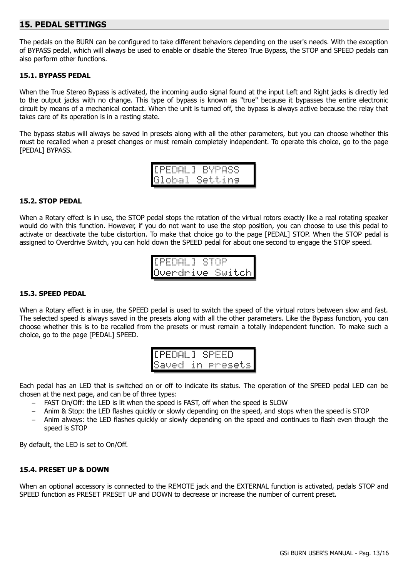### <span id="page-12-0"></span>**15. PEDAL SETTINGS**

The pedals on the BURN can be configured to take different behaviors depending on the user's needs. With the exception of BYPASS pedal, which will always be used to enable or disable the Stereo True Bypass, the STOP and SPEED pedals can also perform other functions.

#### **15.1. BYPASS PEDAL**

When the True Stereo Bypass is activated, the incoming audio signal found at the input Left and Right jacks is directly led to the output jacks with no change. This type of bypass is known as "true" because it bypasses the entire electronic circuit by means of a mechanical contact. When the unit is turned off, the bypass is always active because the relay that takes care of its operation is in a resting state.

The bypass status will always be saved in presets along with all the other parameters, but you can choose whether this must be recalled when a preset changes or must remain completely independent. To operate this choice, go to the page [PEDAL] BYPASS.

|  | '[PEDAL] |  | <b>BYPASS</b>  |  |  |
|--|----------|--|----------------|--|--|
|  |          |  | Global Settins |  |  |

#### **15.2. STOP PEDAL**

When a Rotary effect is in use, the STOP pedal stops the rotation of the virtual rotors exactly like a real rotating speaker would do with this function. However, if you do not want to use the stop position, you can choose to use this pedal to activate or deactivate the tube distortion. To make that choice go to the page [PEDAL] STOP. When the STOP pedal is assigned to Overdrive Switch, you can hold down the SPEED pedal for about one second to engage the STOP speed.

[PEDAL] STOP Overdrive Switch

#### **15.3. SPEED PEDAL**

When a Rotary effect is in use, the SPEED pedal is used to switch the speed of the virtual rotors between slow and fast. The selected speed is always saved in the presets along with all the other parameters. Like the Bypass function, you can choose whether this is to be recalled from the presets or must remain a totally independent function. To make such a choice, go to the page [PEDAL] SPEED.

| <br>---<br><br>---                                                | <br>--- | m.   |    | ioso | ---      |                                                                      |
|-------------------------------------------------------------------|---------|------|----|------|----------|----------------------------------------------------------------------|
| Æ.<br>$-0.0$<br><b>Card Co</b><br><br>---<br>--<br>$-0.05$<br>--- | f<br>   | . F* | п. |      | $\cdots$ | œ,<br>a an<br>$\cdots$<br>÷<br>$-10$<br>$\cdots$<br>----<br>----<br> |

Each pedal has an LED that is switched on or off to indicate its status. The operation of the SPEED pedal LED can be chosen at the next page, and can be of three types:

- FAST On/Off: the LED is lit when the speed is FAST, off when the speed is SLOW
- Anim & Stop: the LED flashes quickly or slowly depending on the speed, and stops when the speed is STOP
- Anim always: the LED flashes quickly or slowly depending on the speed and continues to flash even though the speed is STOP

By default, the LED is set to On/Off.

#### **15.4. PRESET UP & DOWN**

When an optional accessory is connected to the REMOTE jack and the EXTERNAL function is activated, pedals STOP and SPEED function as PRESET PRESET UP and DOWN to decrease or increase the number of current preset.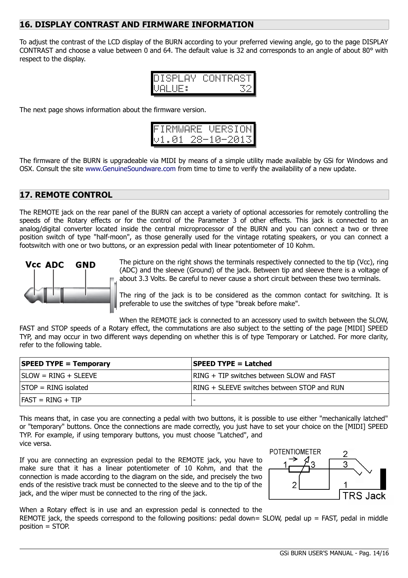### <span id="page-13-1"></span>**16. DISPLAY CONTRAST AND FIRMWARE INFORMATION**

To adjust the contrast of the LCD display of the BURN according to your preferred viewing angle, go to the page DISPLAY CONTRAST and choose a value between 0 and 64. The default value is 32 and corresponds to an angle of about 80° with respect to the display.

| DISPLAY.           | CONTRAST |
|--------------------|----------|
| UAL<br>Æ<br>H<br>i |          |

The next page shows information about the firmware version.

|  |  | ⊩IRMWARE                                             |            |  |  |  | <b>VERSION</b> |
|--|--|------------------------------------------------------|------------|--|--|--|----------------|
|  |  | $\mathsf{I}\cup\mathsf{I}\cup\mathsf{0}\mathsf{1}$ . | 28-10-2013 |  |  |  |                |

The firmware of the BURN is upgradeable via MIDI by means of a simple utility made available by GSi for Windows and OSX. Consult the site [www.GenuineSoundware.com](http://www.GenuineSoundware.com/) from time to time to verify the availability of a new update.

## <span id="page-13-0"></span>**17. REMOTE CONTROL**

The REMOTE jack on the rear panel of the BURN can accept a variety of optional accessories for remotely controlling the speeds of the Rotary effects or for the control of the Parameter 3 of other effects. This jack is connected to an analog/digital converter located inside the central microprocessor of the BURN and you can connect a two or three position switch of type "half-moon", as those generally used for the vintage rotating speakers, or you can connect a footswitch with one or two buttons, or an expression pedal with linear potentiometer of 10 Kohm.



The picture on the right shows the terminals respectively connected to the tip (Vcc), ring (ADC) and the sleeve (Ground) of the jack. Between tip and sleeve there is a voltage of about 3.3 Volts. Be careful to never cause a short circuit between these two terminals.

The ring of the jack is to be considered as the common contact for switching. It is preferable to use the switches of type "break before make".

When the REMOTE jack is connected to an accessory used to switch between the SLOW, FAST and STOP speeds of a Rotary effect, the commutations are also subject to the setting of the page [MIDI] SPEED TYP, and may occur in two different ways depending on whether this is of type Temporary or Latched. For more clarity, refer to the following table.

| <b>SPEED TYPE = Temporary</b> | <b>SPEED TYPE = Latched</b>                 |
|-------------------------------|---------------------------------------------|
| $ SLOW = RING + SLEEVE$       | RING + TIP switches between SLOW and FAST   |
| $STOP = RING$ isolated        | RING + SLEEVE switches between STOP and RUN |
| $FAST = RING + TIP$           |                                             |

This means that, in case you are connecting a pedal with two buttons, it is possible to use either "mechanically latched" or "temporary" buttons. Once the connections are made correctly, you just have to set your choice on the [MIDI] SPEED TYP. For example, if using temporary buttons, you must choose "Latched", and vice versa.

If you are connecting an expression pedal to the REMOTE jack, you have to make sure that it has a linear potentiometer of 10 Kohm, and that the connection is made according to the diagram on the side, and precisely the two ends of the resistive track must be connected to the sleeve and to the tip of the jack, and the wiper must be connected to the ring of the jack.



When a Rotary effect is in use and an expression pedal is connected to the REMOTE jack, the speeds correspond to the following positions: pedal down= SLOW, pedal up = FAST, pedal in middle position = STOP.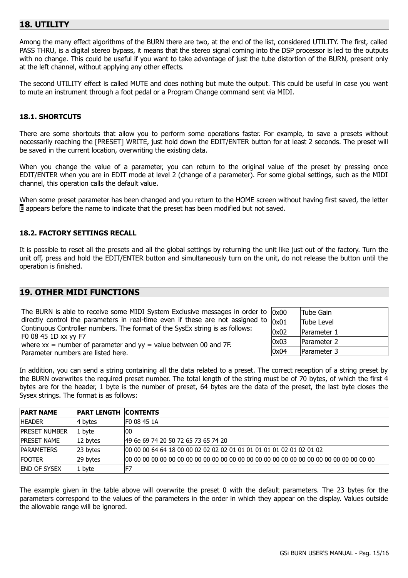# <span id="page-14-1"></span>**18. UTILITY**

Among the many effect algorithms of the BURN there are two, at the end of the list, considered UTILITY. The first, called PASS THRU, is a digital stereo bypass, it means that the stereo signal coming into the DSP processor is led to the outputs with no change. This could be useful if you want to take advantage of just the tube distortion of the BURN, present only at the left channel, without applying any other effects.

The second UTILITY effect is called MUTE and does nothing but mute the output. This could be useful in case you want to mute an instrument through a foot pedal or a Program Change command sent via MIDI.

#### **18.1. SHORTCUTS**

There are some shortcuts that allow you to perform some operations faster. For example, to save a presets without necessarily reaching the [PRESET] WRITE, just hold down the EDIT/ENTER button for at least 2 seconds. The preset will be saved in the current location, overwriting the existing data.

When you change the value of a parameter, you can return to the original value of the preset by pressing once EDIT/ENTER when you are in EDIT mode at level 2 (change of a parameter). For some global settings, such as the MIDI channel, this operation calls the default value.

When some preset parameter has been changed and you return to the HOME screen without having first saved, the letter **E** appears before the name to indicate that the preset has been modified but not saved.

#### **18.2. FACTORY SETTINGS RECALL**

It is possible to reset all the presets and all the global settings by returning the unit like just out of the factory. Turn the unit off, press and hold the EDIT/ENTER button and simultaneously turn on the unit, do not release the button until the operation is finished.

### <span id="page-14-0"></span>**19. OTHER MIDI FUNCTIONS**

| The BURN is able to receive some MIDI System Exclusive messages in order to    |
|--------------------------------------------------------------------------------|
| directly control the parameters in real-time even if these are not assigned to |
| Continuous Controller numbers. The format of the SysEx string is as follows:   |
| F0 08 45 1D xx yy F7                                                           |
| where $xx =$ number of parameter and $yy =$ value between 00 and 7F.           |
| Parameter numbers are listed here.                                             |

| 0x00 | Tube Gain   |
|------|-------------|
| 0x01 | Tube Level  |
| 0x02 | Parameter 1 |
| 0x03 | Parameter 2 |
| 0x04 | Parameter 3 |

In addition, you can send a string containing all the data related to a preset. The correct reception of a string preset by the BURN overwrites the required preset number. The total length of the string must be of 70 bytes, of which the first 4 bytes are for the header, 1 byte is the number of preset, 64 bytes are the data of the preset, the last byte closes the Sysex strings. The format is as follows:

| <b>PART NAME</b>     | <b>PART LENGTH CONTENTS</b> |                                                                      |
|----------------------|-----------------------------|----------------------------------------------------------------------|
| <b>HEADER</b>        | 4 bytes                     | IF0 08 45 1A                                                         |
| <b>PRESET NUMBER</b> | 1 byte                      | 100                                                                  |
| <b>IPRESET NAME</b>  | 12 bytes                    | 49 6e 69 74 20 50 72 65 73 65 74 20                                  |
| <b>IPARAMETERS</b>   | 23 bytes                    | 00 00 00 64 64 18 00 00 02 02 02 02 01 01 01 01 01 01 02 01 02 01 02 |
| <b>FOOTER</b>        | 29 bytes                    |                                                                      |
| <b>END OF SYSEX</b>  | 1 byte                      | IF7                                                                  |

The example given in the table above will overwrite the preset 0 with the default parameters. The 23 bytes for the parameters correspond to the values of the parameters in the order in which they appear on the display. Values outside the allowable range will be ignored.